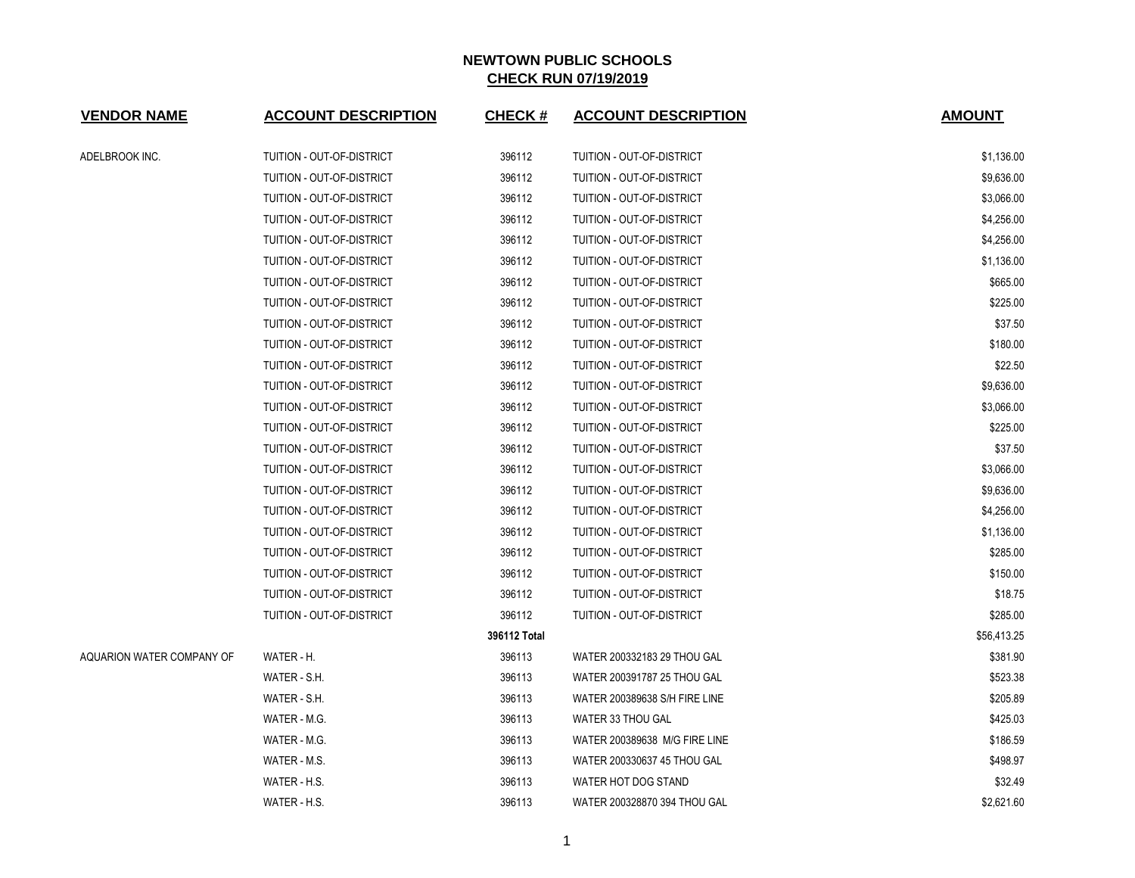| <b>VENDOR NAME</b>        | <b>ACCOUNT DESCRIPTION</b>       | <b>CHECK#</b> | <b>ACCOUNT DESCRIPTION</b>    | <b>AMOUNT</b> |
|---------------------------|----------------------------------|---------------|-------------------------------|---------------|
| ADELBROOK INC.            | TUITION - OUT-OF-DISTRICT        | 396112        | TUITION - OUT-OF-DISTRICT     | \$1,136.00    |
|                           | TUITION - OUT-OF-DISTRICT        | 396112        | TUITION - OUT-OF-DISTRICT     | \$9,636.00    |
|                           | TUITION - OUT-OF-DISTRICT        | 396112        | TUITION - OUT-OF-DISTRICT     | \$3,066.00    |
|                           | TUITION - OUT-OF-DISTRICT        | 396112        | TUITION - OUT-OF-DISTRICT     | \$4,256.00    |
|                           | TUITION - OUT-OF-DISTRICT        | 396112        | TUITION - OUT-OF-DISTRICT     | \$4,256.00    |
|                           | TUITION - OUT-OF-DISTRICT        | 396112        | TUITION - OUT-OF-DISTRICT     | \$1,136.00    |
|                           | TUITION - OUT-OF-DISTRICT        | 396112        | TUITION - OUT-OF-DISTRICT     | \$665.00      |
|                           | TUITION - OUT-OF-DISTRICT        | 396112        | TUITION - OUT-OF-DISTRICT     | \$225.00      |
|                           | TUITION - OUT-OF-DISTRICT        | 396112        | TUITION - OUT-OF-DISTRICT     | \$37.50       |
|                           | TUITION - OUT-OF-DISTRICT        | 396112        | TUITION - OUT-OF-DISTRICT     | \$180.00      |
|                           | TUITION - OUT-OF-DISTRICT        | 396112        | TUITION - OUT-OF-DISTRICT     | \$22.50       |
|                           | TUITION - OUT-OF-DISTRICT        | 396112        | TUITION - OUT-OF-DISTRICT     | \$9,636.00    |
|                           | TUITION - OUT-OF-DISTRICT        | 396112        | TUITION - OUT-OF-DISTRICT     | \$3,066.00    |
|                           | TUITION - OUT-OF-DISTRICT        | 396112        | TUITION - OUT-OF-DISTRICT     | \$225.00      |
|                           | TUITION - OUT-OF-DISTRICT        | 396112        | TUITION - OUT-OF-DISTRICT     | \$37.50       |
|                           | <b>TUITION - OUT-OF-DISTRICT</b> | 396112        | TUITION - OUT-OF-DISTRICT     | \$3,066.00    |
|                           | TUITION - OUT-OF-DISTRICT        | 396112        | TUITION - OUT-OF-DISTRICT     | \$9,636.00    |
|                           | TUITION - OUT-OF-DISTRICT        | 396112        | TUITION - OUT-OF-DISTRICT     | \$4,256.00    |
|                           | TUITION - OUT-OF-DISTRICT        | 396112        | TUITION - OUT-OF-DISTRICT     | \$1,136.00    |
|                           | TUITION - OUT-OF-DISTRICT        | 396112        | TUITION - OUT-OF-DISTRICT     | \$285.00      |
|                           | TUITION - OUT-OF-DISTRICT        | 396112        | TUITION - OUT-OF-DISTRICT     | \$150.00      |
|                           | TUITION - OUT-OF-DISTRICT        | 396112        | TUITION - OUT-OF-DISTRICT     | \$18.75       |
|                           | TUITION - OUT-OF-DISTRICT        | 396112        | TUITION - OUT-OF-DISTRICT     | \$285.00      |
|                           |                                  | 396112 Total  |                               | \$56,413.25   |
| AQUARION WATER COMPANY OF | WATER - H.                       | 396113        | WATER 200332183 29 THOU GAL   | \$381.90      |
|                           | WATER - S.H.                     | 396113        | WATER 200391787 25 THOU GAL   | \$523.38      |
|                           | WATER - S.H.                     | 396113        | WATER 200389638 S/H FIRE LINE | \$205.89      |
|                           | WATER - M.G.                     | 396113        | WATER 33 THOU GAL             | \$425.03      |
|                           | WATER - M.G.                     | 396113        | WATER 200389638 M/G FIRE LINE | \$186.59      |
|                           | WATER - M.S.                     | 396113        | WATER 200330637 45 THOU GAL   | \$498.97      |
|                           | WATER - H.S.                     | 396113        | WATER HOT DOG STAND           | \$32.49       |
|                           | WATER - H.S.                     | 396113        | WATER 200328870 394 THOU GAL  | \$2,621.60    |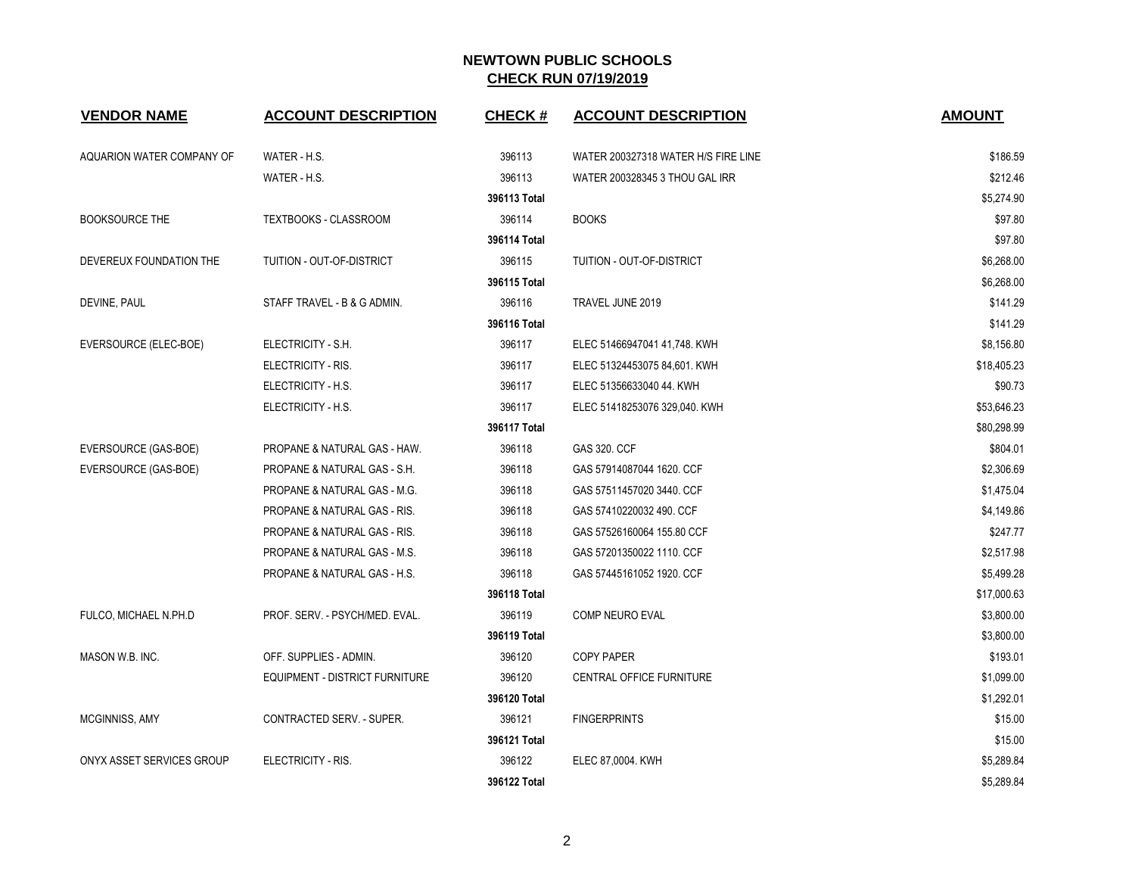| <b>VENDOR NAME</b>        | <b>ACCOUNT DESCRIPTION</b>            | <b>CHECK#</b> | <b>ACCOUNT DESCRIPTION</b>          | <b>AMOUNT</b> |
|---------------------------|---------------------------------------|---------------|-------------------------------------|---------------|
|                           |                                       |               |                                     |               |
| AQUARION WATER COMPANY OF | WATER - H.S.                          | 396113        | WATER 200327318 WATER H/S FIRE LINE | \$186.59      |
|                           | WATER - H.S.                          | 396113        | WATER 200328345 3 THOU GAL IRR      | \$212.46      |
|                           |                                       | 396113 Total  |                                     | \$5,274.90    |
| <b>BOOKSOURCE THE</b>     | TEXTBOOKS - CLASSROOM                 | 396114        | <b>BOOKS</b>                        | \$97.80       |
|                           |                                       | 396114 Total  |                                     | \$97.80       |
| DEVEREUX FOUNDATION THE   | TUITION - OUT-OF-DISTRICT             | 396115        | TUITION - OUT-OF-DISTRICT           | \$6,268.00    |
|                           |                                       | 396115 Total  |                                     | \$6,268.00    |
| DEVINE, PAUL              | STAFF TRAVEL - B & G ADMIN.           | 396116        | TRAVEL JUNE 2019                    | \$141.29      |
|                           |                                       | 396116 Total  |                                     | \$141.29      |
| EVERSOURCE (ELEC-BOE)     | ELECTRICITY - S.H.                    | 396117        | ELEC 51466947041 41,748. KWH        | \$8,156.80    |
|                           | ELECTRICITY - RIS.                    | 396117        | ELEC 51324453075 84,601. KWH        | \$18,405.23   |
|                           | ELECTRICITY - H.S.                    | 396117        | ELEC 51356633040 44. KWH            | \$90.73       |
|                           | ELECTRICITY - H.S.                    | 396117        | ELEC 51418253076 329,040. KWH       | \$53,646.23   |
|                           |                                       | 396117 Total  |                                     | \$80,298.99   |
| EVERSOURCE (GAS-BOE)      | PROPANE & NATURAL GAS - HAW.          | 396118        | GAS 320. CCF                        | \$804.01      |
| EVERSOURCE (GAS-BOE)      | PROPANE & NATURAL GAS - S.H.          | 396118        | GAS 57914087044 1620. CCF           | \$2,306.69    |
|                           | PROPANE & NATURAL GAS - M.G.          | 396118        | GAS 57511457020 3440. CCF           | \$1,475.04    |
|                           | PROPANE & NATURAL GAS - RIS.          | 396118        | GAS 57410220032 490. CCF            | \$4,149.86    |
|                           | PROPANE & NATURAL GAS - RIS.          | 396118        | GAS 57526160064 155.80 CCF          | \$247.77      |
|                           | PROPANE & NATURAL GAS - M.S.          | 396118        | GAS 57201350022 1110. CCF           | \$2,517.98    |
|                           | PROPANE & NATURAL GAS - H.S.          | 396118        | GAS 57445161052 1920. CCF           | \$5,499.28    |
|                           |                                       | 396118 Total  |                                     | \$17,000.63   |
| FULCO, MICHAEL N.PH.D     | PROF. SERV. - PSYCH/MED. EVAL.        | 396119        | COMP NEURO EVAL                     | \$3,800.00    |
|                           |                                       | 396119 Total  |                                     | \$3,800.00    |
| MASON W.B. INC.           | OFF. SUPPLIES - ADMIN.                | 396120        | <b>COPY PAPER</b>                   | \$193.01      |
|                           | <b>EQUIPMENT - DISTRICT FURNITURE</b> | 396120        | CENTRAL OFFICE FURNITURE            | \$1,099.00    |
|                           |                                       | 396120 Total  |                                     | \$1,292.01    |
| <b>MCGINNISS, AMY</b>     | CONTRACTED SERV. - SUPER.             | 396121        | <b>FINGERPRINTS</b>                 | \$15.00       |
|                           |                                       | 396121 Total  |                                     | \$15.00       |
| ONYX ASSET SERVICES GROUP | ELECTRICITY - RIS.                    | 396122        | ELEC 87,0004. KWH                   | \$5,289.84    |
|                           |                                       | 396122 Total  |                                     | \$5,289.84    |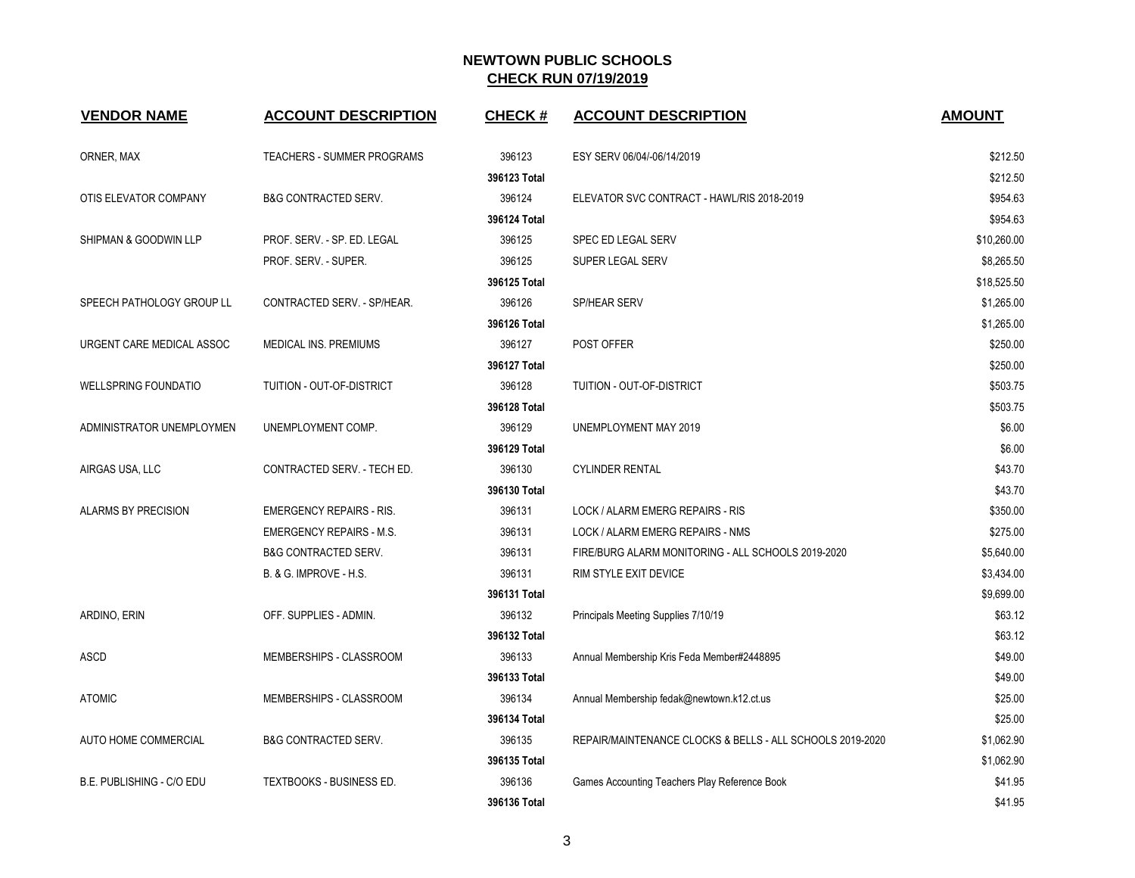| <b>VENDOR NAME</b>          | <b>ACCOUNT DESCRIPTION</b>        | <b>CHECK#</b> | <b>ACCOUNT DESCRIPTION</b>                                | <b>AMOUNT</b> |
|-----------------------------|-----------------------------------|---------------|-----------------------------------------------------------|---------------|
| ORNER, MAX                  | <b>TEACHERS - SUMMER PROGRAMS</b> | 396123        | ESY SERV 06/04/-06/14/2019                                | \$212.50      |
|                             |                                   | 396123 Total  |                                                           | \$212.50      |
| OTIS ELEVATOR COMPANY       | <b>B&amp;G CONTRACTED SERV.</b>   | 396124        | ELEVATOR SVC CONTRACT - HAWL/RIS 2018-2019                | \$954.63      |
|                             |                                   | 396124 Total  |                                                           | \$954.63      |
| SHIPMAN & GOODWIN LLP       | PROF. SERV. - SP. ED. LEGAL       | 396125        | SPEC ED LEGAL SERV                                        | \$10,260.00   |
|                             | PROF. SERV. - SUPER.              | 396125        | <b>SUPER LEGAL SERV</b>                                   | \$8,265.50    |
|                             |                                   | 396125 Total  |                                                           | \$18,525.50   |
| SPEECH PATHOLOGY GROUP LL   | CONTRACTED SERV. - SP/HEAR.       | 396126        | SP/HEAR SERV                                              | \$1,265.00    |
|                             |                                   | 396126 Total  |                                                           | \$1,265.00    |
| URGENT CARE MEDICAL ASSOC   | <b>MEDICAL INS. PREMIUMS</b>      | 396127        | POST OFFER                                                | \$250.00      |
|                             |                                   | 396127 Total  |                                                           | \$250.00      |
| <b>WELLSPRING FOUNDATIO</b> | <b>TUITION - OUT-OF-DISTRICT</b>  | 396128        | <b>TUITION - OUT-OF-DISTRICT</b>                          | \$503.75      |
|                             |                                   | 396128 Total  |                                                           | \$503.75      |
| ADMINISTRATOR UNEMPLOYMEN   | UNEMPLOYMENT COMP.                | 396129        | UNEMPLOYMENT MAY 2019                                     | \$6.00        |
|                             |                                   | 396129 Total  |                                                           | \$6.00        |
| AIRGAS USA, LLC             | CONTRACTED SERV. - TECH ED.       | 396130        | <b>CYLINDER RENTAL</b>                                    | \$43.70       |
|                             |                                   | 396130 Total  |                                                           | \$43.70       |
| ALARMS BY PRECISION         | <b>EMERGENCY REPAIRS - RIS.</b>   | 396131        | LOCK / ALARM EMERG REPAIRS - RIS                          | \$350.00      |
|                             | <b>EMERGENCY REPAIRS - M.S.</b>   | 396131        | LOCK / ALARM EMERG REPAIRS - NMS                          | \$275.00      |
|                             | <b>B&amp;G CONTRACTED SERV.</b>   | 396131        | FIRE/BURG ALARM MONITORING - ALL SCHOOLS 2019-2020        | \$5,640.00    |
|                             | B. & G. IMPROVE - H.S.            | 396131        | RIM STYLE EXIT DEVICE                                     | \$3,434.00    |
|                             |                                   | 396131 Total  |                                                           | \$9,699.00    |
| ARDINO, ERIN                | OFF. SUPPLIES - ADMIN.            | 396132        | Principals Meeting Supplies 7/10/19                       | \$63.12       |
|                             |                                   | 396132 Total  |                                                           | \$63.12       |
| ASCD                        | MEMBERSHIPS - CLASSROOM           | 396133        | Annual Membership Kris Feda Member#2448895                | \$49.00       |
|                             |                                   | 396133 Total  |                                                           | \$49.00       |
| <b>ATOMIC</b>               | MEMBERSHIPS - CLASSROOM           | 396134        | Annual Membership fedak@newtown.k12.ct.us                 | \$25.00       |
|                             |                                   | 396134 Total  |                                                           | \$25.00       |
| AUTO HOME COMMERCIAL        | <b>B&amp;G CONTRACTED SERV.</b>   | 396135        | REPAIR/MAINTENANCE CLOCKS & BELLS - ALL SCHOOLS 2019-2020 | \$1,062.90    |
|                             |                                   | 396135 Total  |                                                           | \$1,062.90    |
| B.E. PUBLISHING - C/O EDU   | TEXTBOOKS - BUSINESS ED.          | 396136        | Games Accounting Teachers Play Reference Book             | \$41.95       |
|                             |                                   | 396136 Total  |                                                           | \$41.95       |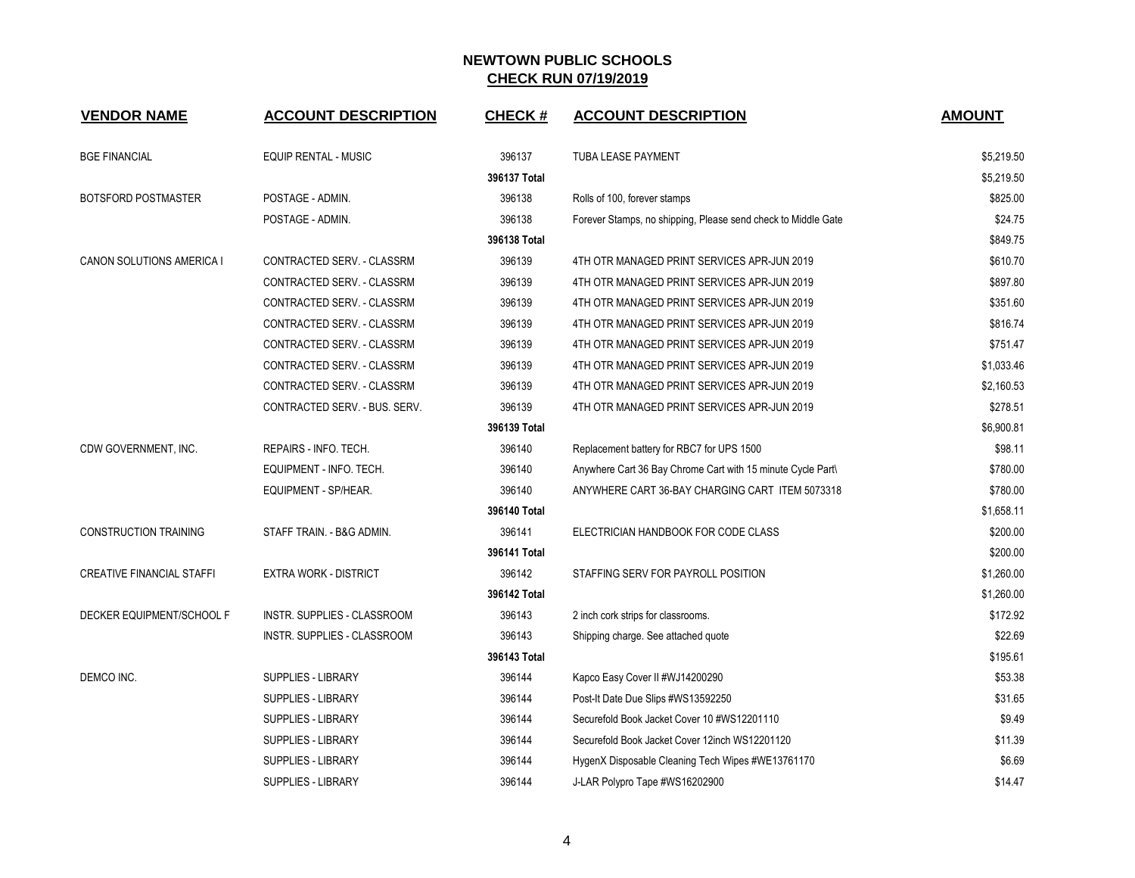| <b>VENDOR NAME</b>               | <b>ACCOUNT DESCRIPTION</b>    | <b>CHECK#</b> | <b>ACCOUNT DESCRIPTION</b>                                    | <b>AMOUNT</b> |
|----------------------------------|-------------------------------|---------------|---------------------------------------------------------------|---------------|
| <b>BGE FINANCIAL</b>             | <b>EQUIP RENTAL - MUSIC</b>   | 396137        | <b>TUBA LEASE PAYMENT</b>                                     | \$5,219.50    |
|                                  |                               | 396137 Total  |                                                               | \$5,219.50    |
| BOTSFORD POSTMASTER              | POSTAGE - ADMIN.              | 396138        | Rolls of 100, forever stamps                                  | \$825.00      |
|                                  | POSTAGE - ADMIN.              | 396138        | Forever Stamps, no shipping, Please send check to Middle Gate | \$24.75       |
|                                  |                               | 396138 Total  |                                                               | \$849.75      |
| CANON SOLUTIONS AMERICA I        | CONTRACTED SERV. - CLASSRM    | 396139        | 4TH OTR MANAGED PRINT SERVICES APR-JUN 2019                   | \$610.70      |
|                                  | CONTRACTED SERV. - CLASSRM    | 396139        | 4TH OTR MANAGED PRINT SERVICES APR-JUN 2019                   | \$897.80      |
|                                  | CONTRACTED SERV. - CLASSRM    | 396139        | 4TH OTR MANAGED PRINT SERVICES APR-JUN 2019                   | \$351.60      |
|                                  | CONTRACTED SERV. - CLASSRM    | 396139        | 4TH OTR MANAGED PRINT SERVICES APR-JUN 2019                   | \$816.74      |
|                                  | CONTRACTED SERV. - CLASSRM    | 396139        | 4TH OTR MANAGED PRINT SERVICES APR-JUN 2019                   | \$751.47      |
|                                  | CONTRACTED SERV. - CLASSRM    | 396139        | 4TH OTR MANAGED PRINT SERVICES APR-JUN 2019                   | \$1,033.46    |
|                                  | CONTRACTED SERV. - CLASSRM    | 396139        | 4TH OTR MANAGED PRINT SERVICES APR-JUN 2019                   | \$2,160.53    |
|                                  | CONTRACTED SERV. - BUS. SERV. | 396139        | 4TH OTR MANAGED PRINT SERVICES APR-JUN 2019                   | \$278.51      |
|                                  |                               | 396139 Total  |                                                               | \$6,900.81    |
| CDW GOVERNMENT, INC.             | REPAIRS - INFO. TECH.         | 396140        | Replacement battery for RBC7 for UPS 1500                     | \$98.11       |
|                                  | EQUIPMENT - INFO. TECH.       | 396140        | Anywhere Cart 36 Bay Chrome Cart with 15 minute Cycle Part\   | \$780.00      |
|                                  | EQUIPMENT - SP/HEAR.          | 396140        | ANYWHERE CART 36-BAY CHARGING CART ITEM 5073318               | \$780.00      |
|                                  |                               | 396140 Total  |                                                               | \$1,658.11    |
| <b>CONSTRUCTION TRAINING</b>     | STAFF TRAIN. - B&G ADMIN.     | 396141        | ELECTRICIAN HANDBOOK FOR CODE CLASS                           | \$200.00      |
|                                  |                               | 396141 Total  |                                                               | \$200.00      |
| <b>CREATIVE FINANCIAL STAFFI</b> | <b>EXTRA WORK - DISTRICT</b>  | 396142        | STAFFING SERV FOR PAYROLL POSITION                            | \$1,260.00    |
|                                  |                               | 396142 Total  |                                                               | \$1,260.00    |
| DECKER EQUIPMENT/SCHOOL F        | INSTR. SUPPLIES - CLASSROOM   | 396143        | 2 inch cork strips for classrooms.                            | \$172.92      |
|                                  | INSTR. SUPPLIES - CLASSROOM   | 396143        | Shipping charge. See attached quote                           | \$22.69       |
|                                  |                               | 396143 Total  |                                                               | \$195.61      |
| DEMCO INC.                       | SUPPLIES - LIBRARY            | 396144        | Kapco Easy Cover II #WJ14200290                               | \$53.38       |
|                                  | SUPPLIES - LIBRARY            | 396144        | Post-It Date Due Slips #WS13592250                            | \$31.65       |
|                                  | <b>SUPPLIES - LIBRARY</b>     | 396144        | Securefold Book Jacket Cover 10 #WS12201110                   | \$9.49        |
|                                  | <b>SUPPLIES - LIBRARY</b>     | 396144        | Securefold Book Jacket Cover 12inch WS12201120                | \$11.39       |
|                                  | <b>SUPPLIES - LIBRARY</b>     | 396144        | HygenX Disposable Cleaning Tech Wipes #WE13761170             | \$6.69        |
|                                  | <b>SUPPLIES - LIBRARY</b>     | 396144        | J-LAR Polypro Tape #WS16202900                                | \$14.47       |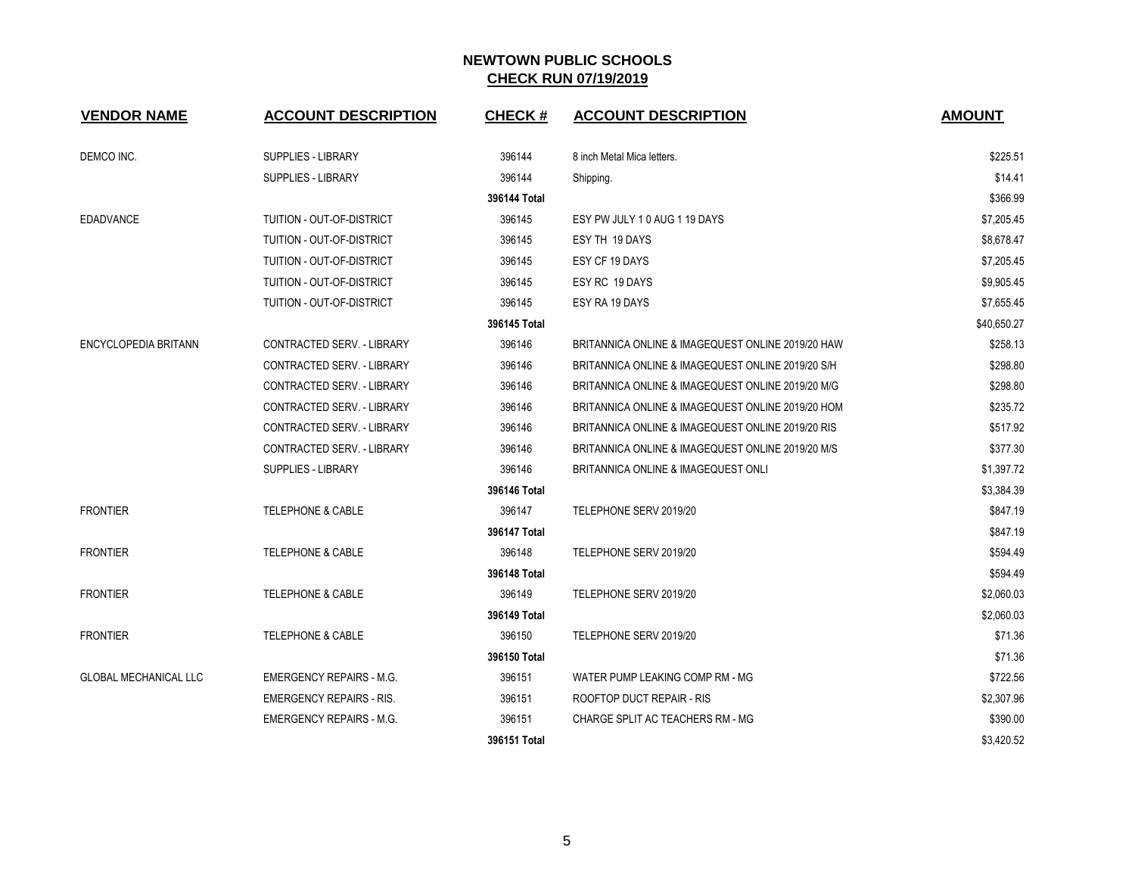| <b>VENDOR NAME</b>           | <b>ACCOUNT DESCRIPTION</b>        | <b>CHECK#</b> | <b>ACCOUNT DESCRIPTION</b>                        | <b>AMOUNT</b> |
|------------------------------|-----------------------------------|---------------|---------------------------------------------------|---------------|
| DEMCO INC.                   | <b>SUPPLIES - LIBRARY</b>         | 396144        | 8 inch Metal Mica letters.                        | \$225.51      |
|                              | <b>SUPPLIES - LIBRARY</b>         | 396144        | Shipping.                                         | \$14.41       |
|                              |                                   | 396144 Total  |                                                   | \$366.99      |
| <b>EDADVANCE</b>             | TUITION - OUT-OF-DISTRICT         | 396145        | ESY PW JULY 10 AUG 1 19 DAYS                      | \$7,205.45    |
|                              | TUITION - OUT-OF-DISTRICT         | 396145        | ESY TH 19 DAYS                                    | \$8,678.47    |
|                              | TUITION - OUT-OF-DISTRICT         | 396145        | ESY CF 19 DAYS                                    | \$7,205.45    |
|                              | TUITION - OUT-OF-DISTRICT         | 396145        | ESY RC 19 DAYS                                    | \$9,905.45    |
|                              | TUITION - OUT-OF-DISTRICT         | 396145        | ESY RA 19 DAYS                                    | \$7,655.45    |
|                              |                                   | 396145 Total  |                                                   | \$40,650.27   |
| <b>ENCYCLOPEDIA BRITANN</b>  | CONTRACTED SERV. - LIBRARY        | 396146        | BRITANNICA ONLINE & IMAGEQUEST ONLINE 2019/20 HAW | \$258.13      |
|                              | CONTRACTED SERV. - LIBRARY        | 396146        | BRITANNICA ONLINE & IMAGEQUEST ONLINE 2019/20 S/H | \$298.80      |
|                              | CONTRACTED SERV. - LIBRARY        | 396146        | BRITANNICA ONLINE & IMAGEQUEST ONLINE 2019/20 M/G | \$298.80      |
|                              | <b>CONTRACTED SERV. - LIBRARY</b> | 396146        | BRITANNICA ONLINE & IMAGEQUEST ONLINE 2019/20 HOM | \$235.72      |
|                              | <b>CONTRACTED SERV. - LIBRARY</b> | 396146        | BRITANNICA ONLINE & IMAGEQUEST ONLINE 2019/20 RIS | \$517.92      |
|                              | CONTRACTED SERV. - LIBRARY        | 396146        | BRITANNICA ONLINE & IMAGEQUEST ONLINE 2019/20 M/S | \$377.30      |
|                              | <b>SUPPLIES - LIBRARY</b>         | 396146        | BRITANNICA ONLINE & IMAGEQUEST ONLI               | \$1,397.72    |
|                              |                                   | 396146 Total  |                                                   | \$3,384.39    |
| <b>FRONTIER</b>              | <b>TELEPHONE &amp; CABLE</b>      | 396147        | TELEPHONE SERV 2019/20                            | \$847.19      |
|                              |                                   | 396147 Total  |                                                   | \$847.19      |
| <b>FRONTIER</b>              | <b>TELEPHONE &amp; CABLE</b>      | 396148        | TELEPHONE SERV 2019/20                            | \$594.49      |
|                              |                                   | 396148 Total  |                                                   | \$594.49      |
| <b>FRONTIER</b>              | <b>TELEPHONE &amp; CABLE</b>      | 396149        | TELEPHONE SERV 2019/20                            | \$2,060.03    |
|                              |                                   | 396149 Total  |                                                   | \$2,060.03    |
| <b>FRONTIER</b>              | <b>TELEPHONE &amp; CABLE</b>      | 396150        | TELEPHONE SERV 2019/20                            | \$71.36       |
|                              |                                   | 396150 Total  |                                                   | \$71.36       |
| <b>GLOBAL MECHANICAL LLC</b> | <b>EMERGENCY REPAIRS - M.G.</b>   | 396151        | WATER PUMP LEAKING COMP RM - MG                   | \$722.56      |
|                              | <b>EMERGENCY REPAIRS - RIS.</b>   | 396151        | ROOFTOP DUCT REPAIR - RIS                         | \$2,307.96    |
|                              | <b>EMERGENCY REPAIRS - M.G.</b>   | 396151        | CHARGE SPLIT AC TEACHERS RM - MG                  | \$390.00      |
|                              |                                   | 396151 Total  |                                                   | \$3,420.52    |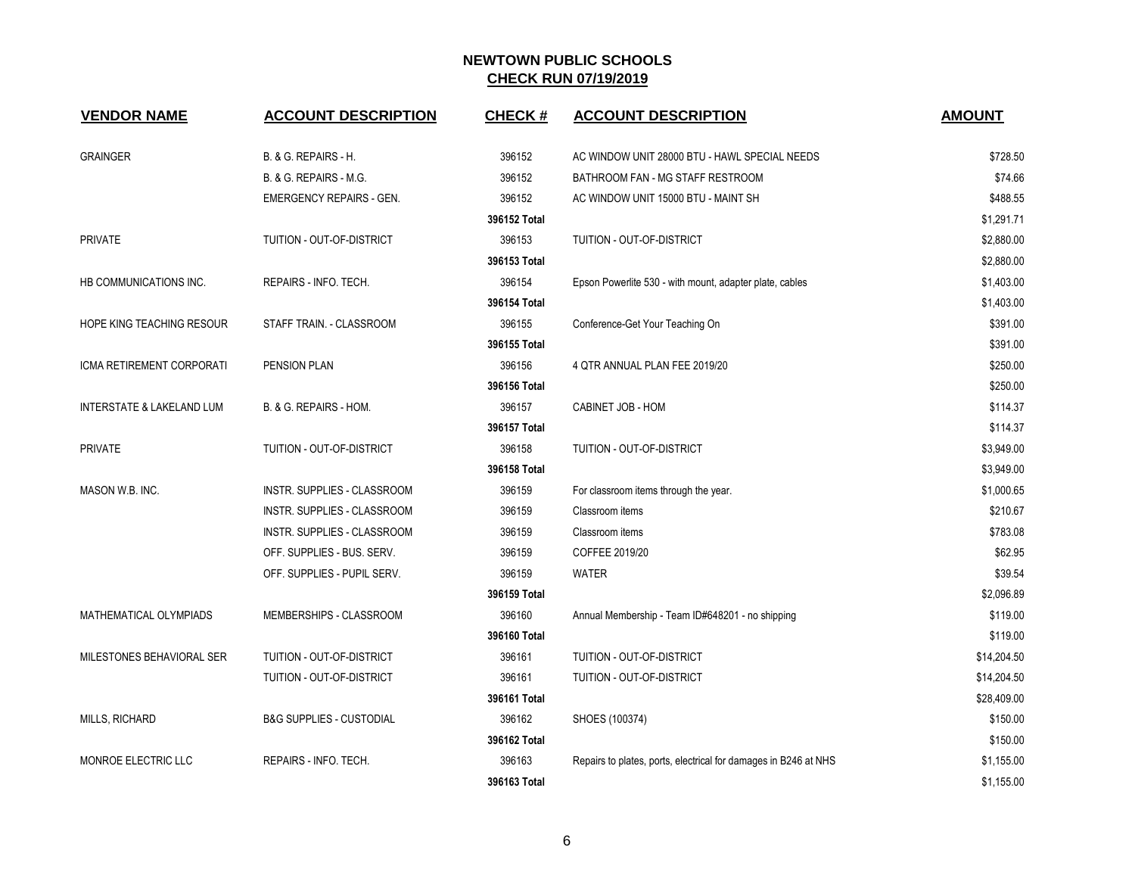| <b>VENDOR NAME</b>        | <b>ACCOUNT DESCRIPTION</b>          | <b>CHECK#</b> | <b>ACCOUNT DESCRIPTION</b>                                      | <b>AMOUNT</b> |
|---------------------------|-------------------------------------|---------------|-----------------------------------------------------------------|---------------|
| <b>GRAINGER</b>           | B. & G. REPAIRS - H.                | 396152        | AC WINDOW UNIT 28000 BTU - HAWL SPECIAL NEEDS                   | \$728.50      |
|                           | B. & G. REPAIRS - M.G.              | 396152        | BATHROOM FAN - MG STAFF RESTROOM                                | \$74.66       |
|                           | <b>EMERGENCY REPAIRS - GEN.</b>     | 396152        | AC WINDOW UNIT 15000 BTU - MAINT SH                             | \$488.55      |
|                           |                                     | 396152 Total  |                                                                 | \$1,291.71    |
| <b>PRIVATE</b>            | TUITION - OUT-OF-DISTRICT           | 396153        | TUITION - OUT-OF-DISTRICT                                       | \$2,880.00    |
|                           |                                     | 396153 Total  |                                                                 | \$2,880.00    |
| HB COMMUNICATIONS INC.    | REPAIRS - INFO. TECH.               | 396154        | Epson Powerlite 530 - with mount, adapter plate, cables         | \$1,403.00    |
|                           |                                     | 396154 Total  |                                                                 | \$1,403.00    |
| HOPE KING TEACHING RESOUR | STAFF TRAIN. - CLASSROOM            | 396155        | Conference-Get Your Teaching On                                 | \$391.00      |
|                           |                                     | 396155 Total  |                                                                 | \$391.00      |
| ICMA RETIREMENT CORPORATI | PENSION PLAN                        | 396156        | 4 QTR ANNUAL PLAN FEE 2019/20                                   | \$250.00      |
|                           |                                     | 396156 Total  |                                                                 | \$250.00      |
| INTERSTATE & LAKELAND LUM | B. & G. REPAIRS - HOM.              | 396157        | CABINET JOB - HOM                                               | \$114.37      |
|                           |                                     | 396157 Total  |                                                                 | \$114.37      |
| <b>PRIVATE</b>            | TUITION - OUT-OF-DISTRICT           | 396158        | TUITION - OUT-OF-DISTRICT                                       | \$3,949.00    |
|                           |                                     | 396158 Total  |                                                                 | \$3,949.00    |
| MASON W.B. INC.           | <b>INSTR. SUPPLIES - CLASSROOM</b>  | 396159        | For classroom items through the year.                           | \$1,000.65    |
|                           | INSTR. SUPPLIES - CLASSROOM         | 396159        | Classroom items                                                 | \$210.67      |
|                           | INSTR. SUPPLIES - CLASSROOM         | 396159        | Classroom items                                                 | \$783.08      |
|                           | OFF. SUPPLIES - BUS. SERV.          | 396159        | COFFEE 2019/20                                                  | \$62.95       |
|                           | OFF. SUPPLIES - PUPIL SERV.         | 396159        | <b>WATER</b>                                                    | \$39.54       |
|                           |                                     | 396159 Total  |                                                                 | \$2,096.89    |
| MATHEMATICAL OLYMPIADS    | MEMBERSHIPS - CLASSROOM             | 396160        | Annual Membership - Team ID#648201 - no shipping                | \$119.00      |
|                           |                                     | 396160 Total  |                                                                 | \$119.00      |
| MILESTONES BEHAVIORAL SER | TUITION - OUT-OF-DISTRICT           | 396161        | TUITION - OUT-OF-DISTRICT                                       | \$14,204.50   |
|                           | TUITION - OUT-OF-DISTRICT           | 396161        | TUITION - OUT-OF-DISTRICT                                       | \$14,204.50   |
|                           |                                     | 396161 Total  |                                                                 | \$28,409.00   |
| MILLS, RICHARD            | <b>B&amp;G SUPPLIES - CUSTODIAL</b> | 396162        | SHOES (100374)                                                  | \$150.00      |
|                           |                                     | 396162 Total  |                                                                 | \$150.00      |
| MONROE ELECTRIC LLC       | REPAIRS - INFO. TECH.               | 396163        | Repairs to plates, ports, electrical for damages in B246 at NHS | \$1,155.00    |
|                           |                                     | 396163 Total  |                                                                 | \$1,155.00    |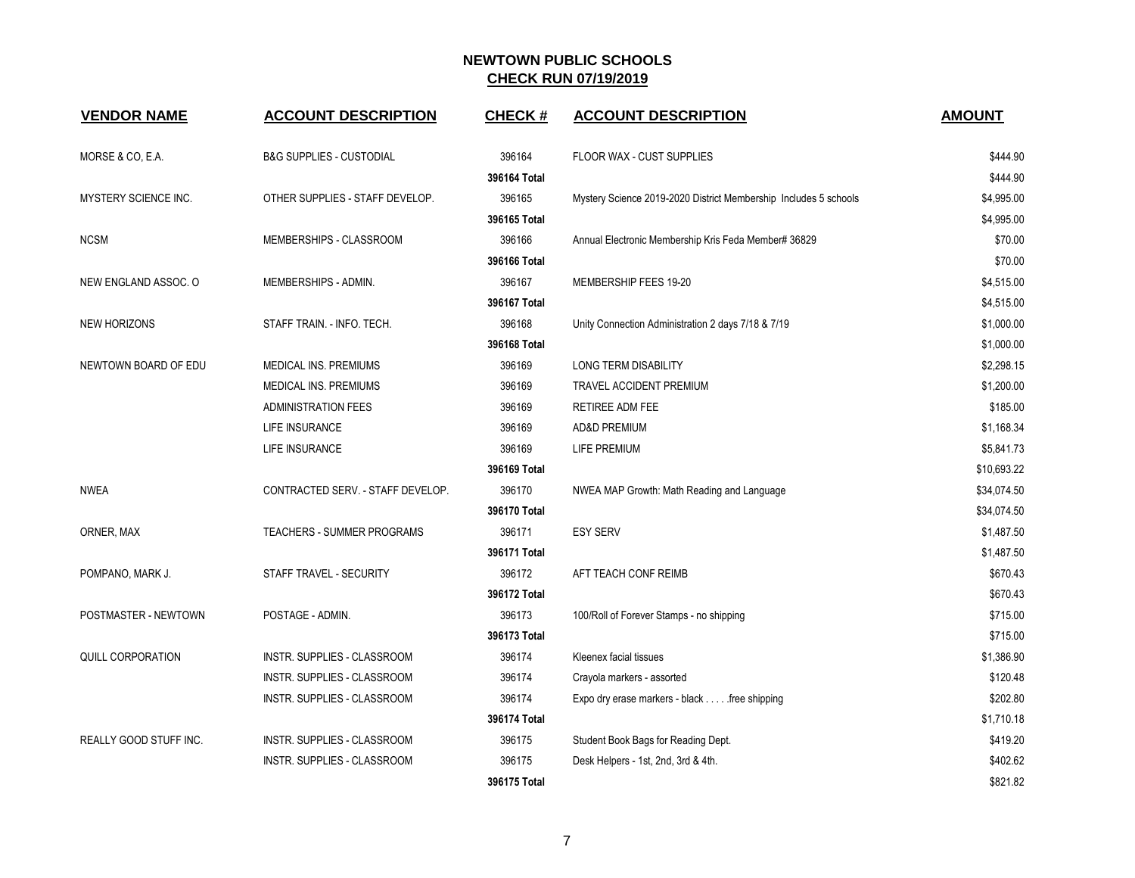| <b>VENDOR NAME</b>          | <b>ACCOUNT DESCRIPTION</b>          | <b>CHECK#</b> | <b>ACCOUNT DESCRIPTION</b>                                       | <b>AMOUNT</b> |
|-----------------------------|-------------------------------------|---------------|------------------------------------------------------------------|---------------|
| MORSE & CO, E.A.            | <b>B&amp;G SUPPLIES - CUSTODIAL</b> | 396164        | FLOOR WAX - CUST SUPPLIES                                        | \$444.90      |
|                             |                                     | 396164 Total  |                                                                  | \$444.90      |
| <b>MYSTERY SCIENCE INC.</b> | OTHER SUPPLIES - STAFF DEVELOP.     | 396165        | Mystery Science 2019-2020 District Membership Includes 5 schools | \$4,995.00    |
|                             |                                     | 396165 Total  |                                                                  | \$4,995.00    |
| <b>NCSM</b>                 | MEMBERSHIPS - CLASSROOM             | 396166        | Annual Electronic Membership Kris Feda Member# 36829             | \$70.00       |
|                             |                                     | 396166 Total  |                                                                  | \$70.00       |
| NEW ENGLAND ASSOC. O        | MEMBERSHIPS - ADMIN.                | 396167        | MEMBERSHIP FEES 19-20                                            | \$4,515.00    |
|                             |                                     | 396167 Total  |                                                                  | \$4,515.00    |
| <b>NEW HORIZONS</b>         | STAFF TRAIN. - INFO. TECH.          | 396168        | Unity Connection Administration 2 days 7/18 & 7/19               | \$1,000.00    |
|                             |                                     | 396168 Total  |                                                                  | \$1,000.00    |
| NEWTOWN BOARD OF EDU        | <b>MEDICAL INS. PREMIUMS</b>        | 396169        | <b>LONG TERM DISABILITY</b>                                      | \$2,298.15    |
|                             | MEDICAL INS. PREMIUMS               | 396169        | TRAVEL ACCIDENT PREMIUM                                          | \$1,200.00    |
|                             | <b>ADMINISTRATION FEES</b>          | 396169        | RETIREE ADM FEE                                                  | \$185.00      |
|                             | LIFE INSURANCE                      | 396169        | <b>AD&amp;D PREMIUM</b>                                          | \$1,168.34    |
|                             | LIFE INSURANCE                      | 396169        | LIFE PREMIUM                                                     | \$5,841.73    |
|                             |                                     | 396169 Total  |                                                                  | \$10,693.22   |
| <b>NWEA</b>                 | CONTRACTED SERV. - STAFF DEVELOP.   | 396170        | NWEA MAP Growth: Math Reading and Language                       | \$34,074.50   |
|                             |                                     | 396170 Total  |                                                                  | \$34,074.50   |
| ORNER, MAX                  | TEACHERS - SUMMER PROGRAMS          | 396171        | <b>ESY SERV</b>                                                  | \$1,487.50    |
|                             |                                     | 396171 Total  |                                                                  | \$1,487.50    |
| POMPANO, MARK J.            | STAFF TRAVEL - SECURITY             | 396172        | AFT TEACH CONF REIMB                                             | \$670.43      |
|                             |                                     | 396172 Total  |                                                                  | \$670.43      |
| POSTMASTER - NEWTOWN        | POSTAGE - ADMIN.                    | 396173        | 100/Roll of Forever Stamps - no shipping                         | \$715.00      |
|                             |                                     | 396173 Total  |                                                                  | \$715.00      |
| <b>QUILL CORPORATION</b>    | INSTR. SUPPLIES - CLASSROOM         | 396174        | Kleenex facial tissues                                           | \$1,386.90    |
|                             | INSTR. SUPPLIES - CLASSROOM         | 396174        | Crayola markers - assorted                                       | \$120.48      |
|                             | INSTR. SUPPLIES - CLASSROOM         | 396174        | Expo dry erase markers - black free shipping                     | \$202.80      |
|                             |                                     | 396174 Total  |                                                                  | \$1,710.18    |
| REALLY GOOD STUFF INC.      | INSTR. SUPPLIES - CLASSROOM         | 396175        | Student Book Bags for Reading Dept.                              | \$419.20      |
|                             | INSTR. SUPPLIES - CLASSROOM         | 396175        | Desk Helpers - 1st, 2nd, 3rd & 4th.                              | \$402.62      |
|                             |                                     | 396175 Total  |                                                                  | \$821.82      |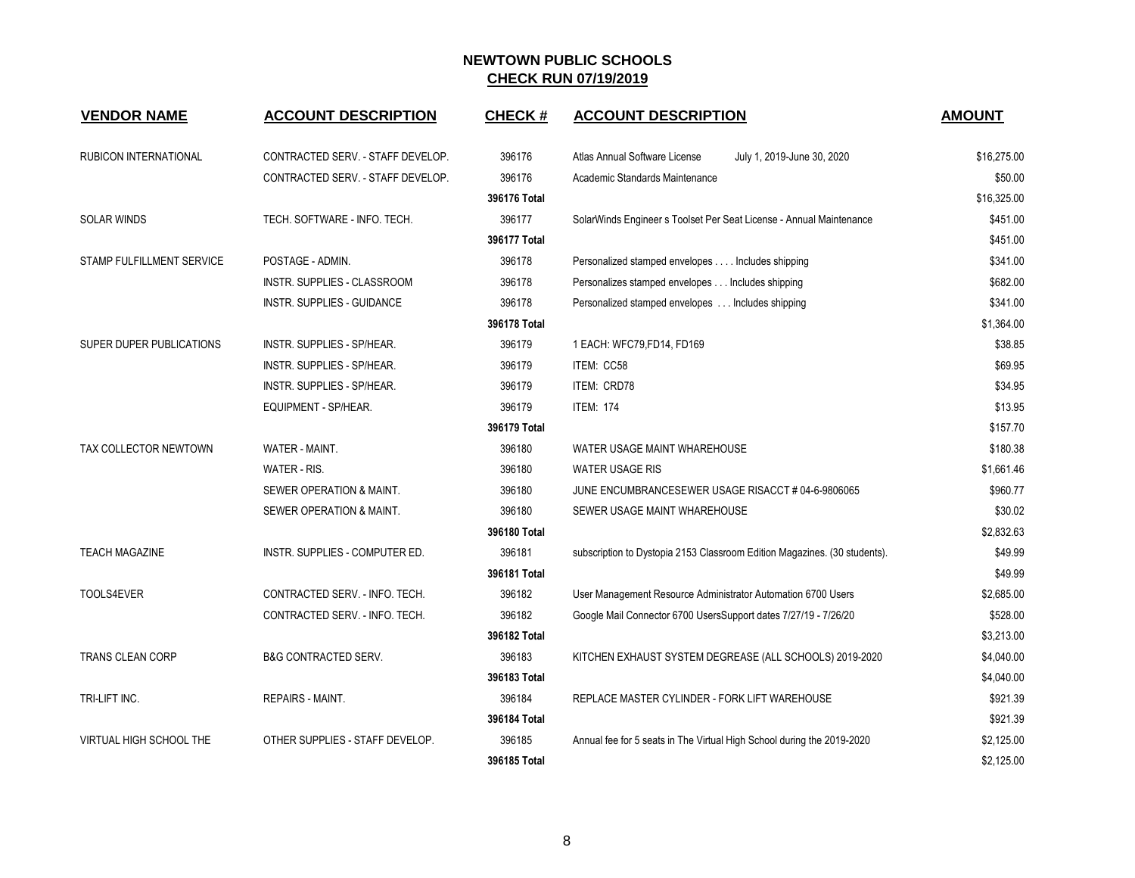| <b>VENDOR NAME</b>             | <b>ACCOUNT DESCRIPTION</b>         | <b>CHECK#</b> | <b>ACCOUNT DESCRIPTION</b>                                                | <b>AMOUNT</b> |
|--------------------------------|------------------------------------|---------------|---------------------------------------------------------------------------|---------------|
| RUBICON INTERNATIONAL          | CONTRACTED SERV. - STAFF DEVELOP.  | 396176        | Atlas Annual Software License<br>July 1, 2019-June 30, 2020               | \$16,275.00   |
|                                | CONTRACTED SERV. - STAFF DEVELOP.  | 396176        | Academic Standards Maintenance                                            | \$50.00       |
|                                |                                    | 396176 Total  |                                                                           | \$16,325.00   |
| <b>SOLAR WINDS</b>             | TECH. SOFTWARE - INFO. TECH.       | 396177        | SolarWinds Engineer s Toolset Per Seat License - Annual Maintenance       | \$451.00      |
|                                |                                    | 396177 Total  |                                                                           | \$451.00      |
| STAMP FULFILLMENT SERVICE      | POSTAGE - ADMIN.                   | 396178        | Personalized stamped envelopes Includes shipping                          | \$341.00      |
|                                | <b>INSTR. SUPPLIES - CLASSROOM</b> | 396178        | Personalizes stamped envelopes Includes shipping                          | \$682.00      |
|                                | INSTR. SUPPLIES - GUIDANCE         | 396178        | Personalized stamped envelopes Includes shipping                          | \$341.00      |
|                                |                                    | 396178 Total  |                                                                           | \$1,364.00    |
| SUPER DUPER PUBLICATIONS       | INSTR. SUPPLIES - SP/HEAR.         | 396179        | 1 EACH: WFC79, FD14, FD169                                                | \$38.85       |
|                                | INSTR. SUPPLIES - SP/HEAR.         | 396179        | ITEM: CC58                                                                | \$69.95       |
|                                | <b>INSTR. SUPPLIES - SP/HEAR.</b>  | 396179        | ITEM: CRD78                                                               | \$34.95       |
|                                | EQUIPMENT - SP/HEAR.               | 396179        | <b>ITEM: 174</b>                                                          | \$13.95       |
|                                |                                    | 396179 Total  |                                                                           | \$157.70      |
| TAX COLLECTOR NEWTOWN          | WATER - MAINT.                     | 396180        | WATER USAGE MAINT WHAREHOUSE                                              | \$180.38      |
|                                | WATER - RIS.                       | 396180        | <b>WATER USAGE RIS</b>                                                    | \$1,661.46    |
|                                | SEWER OPERATION & MAINT.           | 396180        | JUNE ENCUMBRANCESEWER USAGE RISACCT # 04-6-9806065                        | \$960.77      |
|                                | SEWER OPERATION & MAINT.           | 396180        | SEWER USAGE MAINT WHAREHOUSE                                              | \$30.02       |
|                                |                                    | 396180 Total  |                                                                           | \$2,832.63    |
| <b>TEACH MAGAZINE</b>          | INSTR. SUPPLIES - COMPUTER ED.     | 396181        | subscription to Dystopia 2153 Classroom Edition Magazines. (30 students). | \$49.99       |
|                                |                                    | 396181 Total  |                                                                           | \$49.99       |
| TOOLS4EVER                     | CONTRACTED SERV. - INFO. TECH.     | 396182        | User Management Resource Administrator Automation 6700 Users              | \$2,685.00    |
|                                | CONTRACTED SERV. - INFO. TECH.     | 396182        | Google Mail Connector 6700 UsersSupport dates 7/27/19 - 7/26/20           | \$528.00      |
|                                |                                    | 396182 Total  |                                                                           | \$3,213.00    |
| TRANS CLEAN CORP               | <b>B&amp;G CONTRACTED SERV.</b>    | 396183        | KITCHEN EXHAUST SYSTEM DEGREASE (ALL SCHOOLS) 2019-2020                   | \$4,040.00    |
|                                |                                    | 396183 Total  |                                                                           | \$4,040.00    |
| TRI-LIFT INC.                  | <b>REPAIRS - MAINT.</b>            | 396184        | REPLACE MASTER CYLINDER - FORK LIFT WAREHOUSE                             | \$921.39      |
|                                |                                    | 396184 Total  |                                                                           | \$921.39      |
| <b>VIRTUAL HIGH SCHOOL THE</b> | OTHER SUPPLIES - STAFF DEVELOP.    | 396185        | Annual fee for 5 seats in The Virtual High School during the 2019-2020    | \$2,125.00    |
|                                |                                    | 396185 Total  |                                                                           | \$2,125.00    |